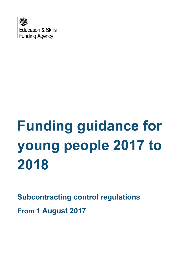

# **Funding guidance for young people 2017 to 2018**

**Subcontracting control regulations From 1 August 2017**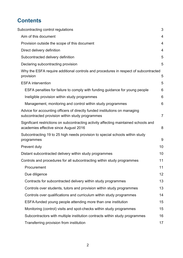# **Contents**

| Subcontracting control regulations                                                                                            | 3              |
|-------------------------------------------------------------------------------------------------------------------------------|----------------|
| Aim of this document                                                                                                          | 4              |
| Provision outside the scope of this document                                                                                  | 4              |
| Direct delivery definition                                                                                                    | 4              |
| Subcontracted delivery definition                                                                                             | 5              |
| Declaring subcontracting provision                                                                                            | 5              |
| Why the ESFA require additional controls and procedures in respect of subcontracted<br>provision                              | 5              |
| <b>ESFA</b> intervention                                                                                                      | 5              |
| ESFA penalties for failure to comply with funding guidance for young people                                                   | 6              |
| Ineligible provision within study programmes                                                                                  | 6              |
| Management, monitoring and control within study programmes                                                                    | 6              |
| Advice for accounting officers of directly funded institutions on managing<br>subcontracted provision within study programmes | $\overline{7}$ |
| Significant restrictions on subcontracting activity affecting maintained schools and<br>academies effective since August 2016 | 8              |
| Subcontracting 19 to 25 high needs provision to special schools within study<br>programmes                                    | 9              |
| Prevent duty                                                                                                                  | 10             |
| Distant subcontracted delivery within study programmes                                                                        | 10             |
| Controls and procedures for all subcontracting within study programmes                                                        | 11             |
| Procurement                                                                                                                   | 11             |
| Due diligence                                                                                                                 | 12             |
| Contracts for subcontracted delivery within study programmes                                                                  | 13             |
| Controls over students, tutors and provision within study programmes                                                          | 13             |
| Controls over qualifications and curriculum within study programmes                                                           | 14             |
| ESFA-funded young people attending more than one institution                                                                  | 15             |
| Monitoring (control) visits and spot-checks within study programmes                                                           | 15             |
| Subcontractors with multiple institution contracts within study programmes                                                    | 16             |
| Transferring provision from institution                                                                                       | 17             |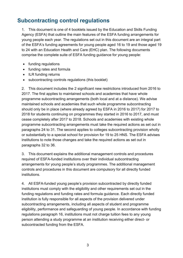## <span id="page-2-0"></span>**Subcontracting control regulations**

1. This document is one of 4 booklets issued by the Education and Skills Funding Agency (ESFA) that outline the main features of the ESFA funding arrangements for young people each year. The regulations set out in this document are an integral part of the ESFA's funding agreements for young people aged 16 to 19 and those aged 19 to 24 with an Education Health and Care (EHC) plan. The following documents comprise the complete suite of ESFA funding guidance for young people:

- funding regulations
- funding rates and formula
- ILR funding returns
- subcontracting controls regulations (this booklet)

2. This document includes the 2 significant new restrictions introduced from 2016 to 2017. The first applies to maintained schools and academies that have whole programme subcontracting arrangements (both local and at a distance). We advise maintained schools and academies that such whole programme subcontracting should only be in place (where already agreed by ESFA in 2016 to 2017) for 2017 to 2018 for students continuing on programmes they started in 2016 to 2017, and must cease completely after 2017 to 2018. Schools and academies with existing whole programme subcontracting arrangements must take the required actions as set out in paragraphs 24 to 31. The second applies to colleges subcontracting provision wholly or substantially to a special school for provision for 19 to 25 HNS. The ESFA advises institutions to note those changes and take the required actions as set out in paragraphs 32 to 36.

3. This document explains the additional management controls and procedures required of ESFA-funded institutions over their individual subcontracting arrangements for young people's study programmes. The additional management controls and procedures in this document are compulsory for all directly funded institutions.

4. All ESFA-funded young people's provision subcontracted by directly funded institutions must comply with the eligibility and other requirements set out in the funding regulations and funding rates and formula guidance. Each directly funded institution is fully responsible for all aspects of the provision delivered under subcontracting arrangements, including all aspects of student and programme eligibility, performance and safeguarding of young people. In accordance with funding regulations paragraph 16, institutions must not charge tuition fees to any young person attending a study programme at an institution receiving either direct- or subcontracted funding from the ESFA.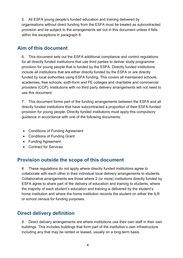5. All ESFA young people's funded education and training delivered by organisations without direct funding from the ESFA must be treated as subcontracted provision and be subject to the arrangements set out in this document unless it falls within the exceptions in paragraph 8.

## <span id="page-3-0"></span>**Aim of this document**

6. This document sets out the ESFA additional compliance and control regulations for all directly funded institutions that use third parties to deliver study programme provision for young people that is funded by the ESFA. Directly funded institutions include all institutions that are either directly funded by the ESFA or are directly funded by local authorities using ESFA funding. This covers all maintained schools, academies, free schools, sixth-form and FE colleges and charitable and commercial providers (CCP). Institutions with no third party delivery arrangements will not need to use this document.

7. This document forms part of the funding arrangements between the ESFA and all directly funded institutions that have subcontracted a proportion of their ESFA-funded provision for young people. Directly funded institutions must apply this compulsory guidance in accordance with one of the following documents:

- Conditions of Funding Agreement
- Conditions of Funding Grant
- Funding Agreement
- Contract for Services

## <span id="page-3-1"></span>**Provision outside the scope of this document**

8. These regulations do not apply where directly funded institutions agree to collaborate with each other in their individual local delivery arrangements to students. Collaborative arrangements are those where 2 (or more) institutions directly funded by ESFA agree to share part of the delivery of education and training to students, where the majority of each student's education and training is delivered by the student's home institution and where the home institution records the student on either the ILR or school census for funding purposes.

## <span id="page-3-2"></span>**Direct delivery definition**

9. Direct delivery arrangements are where institutions use their own staff in their own buildings. This includes buildings that form part of the institution's own infrastructure including any that may be rented or leased, usually on a long-term basis.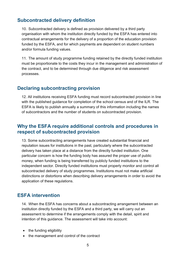## <span id="page-4-0"></span>**Subcontracted delivery definition**

10. Subcontracted delivery is defined as provision delivered by a third party organisation with whom the institution directly funded by the ESFA has entered into contractual arrangements for the delivery of a proportion of the education provision funded by the ESFA, and for which payments are dependent on student numbers and/or formula funding values.

11. The amount of study programme funding retained by the directly funded institution must be proportionate to the costs they incur in the management and administration of the contract, and to be determined through due diligence and risk assessment processes.

## <span id="page-4-1"></span>**Declaring subcontracting provision**

12. All institutions receiving ESFA funding must record subcontracted provision in line with the published guidance for completion of the school census and of the ILR. The ESFA is likely to publish annually a summary of this information including the names of subcontractors and the number of students on subcontracted provision.

## <span id="page-4-2"></span>**Why the ESFA require additional controls and procedures in respect of subcontracted provision**

13. Some subcontracting arrangements have created substantial financial and reputation issues for institutions in the past, particularly where the subcontracted delivery has taken place at a distance from the directly funded institution. One particular concern is how the funding body has assured the proper use of public money, when funding is being transferred by publicly funded institutions to the independent sector. Directly funded institutions must properly monitor and control all subcontracted delivery of study programmes. Institutions must not make artificial distinctions or distortions when describing delivery arrangements in order to avoid the application of these regulations.

## <span id="page-4-3"></span>**ESFA intervention**

14. When the ESFA has concerns about a subcontracting arrangement between an institution directly funded by the ESFA and a third party, we will carry out an assessment to determine if the arrangements comply with the detail, spirit and intention of this guidance. The assessment will take into account:

- the funding eligibility
- the management and control of the contract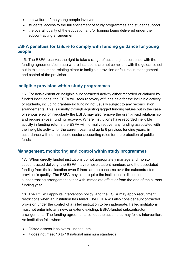- the welfare of the young people involved
- students' access to the full entitlement of study programmes and student support
- the overall quality of the education and/or training being delivered under the subcontracting arrangement

#### <span id="page-5-0"></span>**ESFA penalties for failure to comply with funding guidance for young people**

15. The ESFA reserves the right to take a range of actions (in accordance with the funding agreement/contract) where institutions are not compliant with the guidance set out in this document, relating either to ineligible provision or failures in management and control of the provision.

#### <span id="page-5-1"></span>**Ineligible provision within study programmes**

16. For non-existent or ineligible subcontracted activity either recorded or claimed by funded institutions, the ESFA will seek recovery of funds paid for the ineligible activity or students, including grant-in-aid funding not usually subject to any reconciliation arrangements. This is usually through adjusting lagged funding values but in the case of serious error or irregularity the ESFA may also remove the grant-in-aid relationship and require in-year funding recovery. Where institutions have recorded ineligible activity in funding returns the ESFA will normally recover any funding associated with the ineligible activity for the current year, and up to 6 previous funding years, in accordance with normal public sector accounting rules for the protection of public funds.

#### <span id="page-5-2"></span>**Management, monitoring and control within study programmes**

17. When directly funded institutions do not appropriately manage and monitor subcontracted delivery, the ESFA may remove student numbers and the associated funding from their allocation even if there are no concerns over the subcontracted provision's quality. The ESFA may also require the institution to discontinue the subcontracting arrangement either with immediate effect or from the end of the current funding year.

18. The DfE will apply its intervention policy, and the ESFA may apply recruitment restrictions when an institution has failed. The ESFA will also consider subcontracted provision under the control of a failed institution to be inadequate. Failed institutions must not enter into any new, or extend existing, ESFA-funded subcontractor arrangements. The funding agreements set out the action that may follow intervention. An institution fails when:

- Ofsted assess it as overall inadequate
- it does not meet 16 to 18 national minimum standards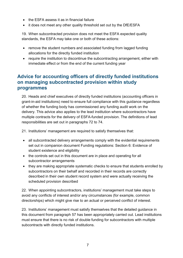- $\bullet$  the ESFA assess it as in financial failure
- it does not meet any other quality threshold set out by the DfE/ESFA

19. When subcontracted provision does not meet the ESFA expected quality standards, the ESFA may take one or both of these actions:

- remove the student numbers and associated funding from lagged funding allocations for the directly funded institution
- require the institution to discontinue the subcontracting arrangement, either with immediate effect or from the end of the current funding year

## <span id="page-6-0"></span>**Advice for accounting officers of directly funded institutions on managing subcontracted provision within study programmes**

20. Heads and chief executives of directly funded institutions (accounting officers in grant-in-aid institutions) need to ensure full compliance with this guidance regardless of whether the funding body has commissioned any funding audit work on the delivery. This advice also applies to the lead institution where subcontractors have multiple contracts for the delivery of ESFA-funded provision. The definitions of lead responsibilities are set out in paragraphs 72 to 74.

21. Institutions' management are required to satisfy themselves that:

- all subcontracted delivery arrangements comply with the evidential requirements set out in companion document Funding regulations: Section 6: Evidence of student existence and eligibility
- the controls set out in this document are in place and operating for all subcontractor arrangements
- they are making appropriate systematic checks to ensure that students enrolled by subcontractors on their behalf and recorded in their records are correctly described in their own student record system and were actually receiving the scheduled provision described

22. When appointing subcontractors, institutions' management must take steps to avoid any conflicts of interest and/or any circumstances (for example, common directorships) which might give rise to an actual or perceived conflict of interest.

23. Institutions' management must satisfy themselves that the detailed guidance in this document from paragraph 57 has been appropriately carried out. Lead institutions must ensure that there is no risk of double funding for subcontractors with multiple subcontracts with directly funded institutions.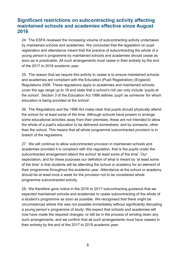## <span id="page-7-0"></span>**Significant restrictions on subcontracting activity affecting maintained schools and academies effective since August 2016**

24. The ESFA reviewed the increasing volume of subcontracting activity undertaken by maintained schools and academies. We concluded that the legislation on pupil registration and attendance meant that the practice of subcontracting the whole of a young person's programme by maintained schools and academies should cease as soon as is practicable. All such arrangements must cease in their entirety by the end of the 2017 to 2018 academic year.

25. The reason that we require this activity to cease is to ensure maintained schools and academies are compliant with the Education (Pupil Registration) (England) Regulations 2006. These regulations apply to academies and maintained schools, cover the age range up to 18 and state that a school's roll can only include 'pupils at the school'. Section 3 of the Education Act 1996 defines 'pupil' as someone 'for whom education is being provided at the school'.

26. The Regulations and the 1996 Act make clear that pupils should physically attend the school for at least some of the time. Although schools have powers to arrange some educational activities away from their premises, these are not intended to allow the whole of a pupil's education to be delivered somewhere, and by someone, other than the school. This means that all whole programme subcontracted provision is in breach of the regulations.

27. We will continue to allow subcontracted provision in maintained schools and academies provided it is compliant with this regulation, that is the pupils under the subcontracted arrangement attend the school 'at least some of the time'. Our expectation, and for these purposes our definition of what is meant by 'at least some of the time' is that students will be attending the school or academy for an element of their programme throughout the academic year. Attendance at the school or academy should be at least once a week for the provision not to be considered whole programme subcontracted activity.

28. We therefore gave notice in the 2016 to 2017 subcontracting guidance that we expected maintained schools and academies to cease subcontracting of the whole of a student's programme as soon as possible. We recognised that there might be circumstances where this was not possible immediately without significantly disrupting a young person's programme of study. We expect that schools and academies will now have made the required changes, or will be in the process of winding down any such arrangements, and we confirm that all such arrangements must have ceased in their entirety by the end of the 2017 to 2018 academic year.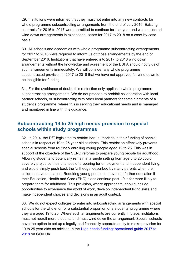29. Institutions were informed that they must not enter into any new contracts for whole programme subcontracting arrangements from the end of July 2016. Existing contracts for 2016 to 2017 were permitted to continue for that year and we considered wind down arrangements in exceptional cases for 2017 to 2018 on a case-by-case basis.

30. All schools and academies with whole programme subcontracting arrangements for 2017 to 2018 were required to inform us of those arrangements by the end of September 2016. Institutions that have entered into 2017 to 2018 wind down arrangements without the knowledge and agreement of the ESFA should notify us of such arrangements immediately. We will consider any whole programme subcontracted provision in 2017 to 2018 that we have not approved for wind down to be ineligible for funding.

31. For the avoidance of doubt, this restriction only applies to whole programme subcontracting arrangements. We do not propose to prohibit collaboration with local partner schools, or subcontracting with other local partners for some elements of a student's programme, where this is serving their educational needs and is managed and monitored in line with this guidance.

## <span id="page-8-0"></span>**Subcontracting 19 to 25 high needs provision to special schools within study programmes**

32. In 2014, the DfE legislated to restrict local authorities in their funding of special schools in respect of 19 to 25 year old students. This restriction effectively prevents special schools from routinely enrolling young people aged 19 to 25. This was in support of the objective of the SEND reforms to prepare young people for adulthood. Allowing students to potentially remain in a single setting from age 5 to 25 could severely prejudice their chances of preparing for employment and independent living, and would simply push back the 'cliff edge' described by many parents when their children leave education. Requiring young people to move into further education if their Education, Health and Care (EHC) plans continue post-19 is far more likely to prepare them for adulthood. This provision, where appropriate, should include opportunities to experience the world of work, develop independent living skills and make independent choices and decisions in an adult context.

33. We do not expect colleges to enter into subcontracting arrangements with special schools for the whole, or for a substantial proportion of a students' programme where they are aged 19 to 25. Where such arrangements are currently in place, institutions must not recruit more students and must wind down the arrangement. Special schools have the option to set up a legally and financially separate entity to make provision for 19 to 25 year olds as advised In the [High needs funding: operational guide 2017 to](https://www.gov.uk/government/publications/high-needs-funding-arrangements-2016-to-2017/high-needs-funding-2016-to-2017)  [2018](https://www.gov.uk/government/publications/high-needs-funding-arrangements-2016-to-2017/high-needs-funding-2016-to-2017) [o](https://www.gov.uk/government/publications/high-needs-funding-arrangements-2016-to-2017/high-needs-funding-2016-to-2017)n GOV.UK.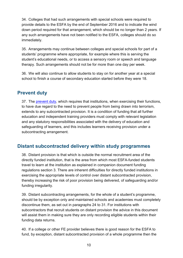34. Colleges that had such arrangements with special schools were required to provide details to the ESFA by the end of September 2016 and to indicate the wind down period required for that arrangement, which should be no longer than 2 years. If any such arrangements have not been notified to the ESFA, colleges should do so immediately.

35. Arrangements may continue between colleges and special schools for part of a students' programme where appropriate, for example where this is serving the student's educational needs, or to access a sensory room or speech and language therapy. Such arrangements should not be for more than one day per week.

36. We will also continue to allow students to stay on for another year at a special school to finish a course of secondary education started before they were 18.

## <span id="page-9-0"></span>**Prevent duty**

37. The [prevent duty,](https://www.gov.uk/government/uploads/system/uploads/attachment_data/file/445915/Prevent_Duty_Guidance_For_Further_Education__England__Wales_-Interactive.pdf) which requires that institutions, when exercising their functions, to have due regard to the need to prevent people from being drawn into terrorism, extends to any subcontracted provision. It is a condition of funding that all further education and independent training providers must comply with relevant legislation and any statutory responsibilities associated with the delivery of education and safeguarding of learners, and this includes learners receiving provision under a subcontracting arrangement.

## <span id="page-9-1"></span>**Distant subcontracted delivery within study programmes**

38. Distant provision is that which is outside the normal recruitment area of the directly funded institution, that is the area from which most ESFA-funded students travel to learn at the institution as explained in companion document funding regulations section 3. There are inherent difficulties for directly funded institutions in exercising the appropriate levels of control over distant subcontracted provision, thereby increasing the risk of poor provision being delivered, of safeguarding and/or funding irregularity.

39. Distant subcontracting arrangements, for the whole of a student's programme, should be by exception only and maintained schools and academies must completely discontinue them, as set out in paragraphs 24 to 31. For institutions with subcontractors that recruit students on distant provision the advice in this document will assist them in making sure they are only recording eligible students within their funding data returns.

40. If a college or other FE provider believes there is good reason for the ESFA to fund, by exception, distant subcontracted provision of a whole programme then the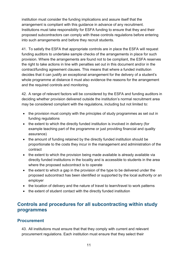institution must consider the funding implications and assure itself that the arrangement is compliant with this guidance in advance of any recruitment. Institutions must take responsibility for ESFA funding to ensure that they and their proposed subcontractors can comply with these controls regulations before entering into such arrangements and before they recruit students.

41. To satisfy the ESFA that appropriate controls are in place the ESFA will request funding auditors to undertake sample checks of the arrangements in place for such provision. Where the arrangements are found not to be compliant, the ESFA reserves the right to take actions in line with penalties set out in this document and/or in the contract/funding agreement clauses. This means that where a funded institution decides that it can justify an exceptional arrangement for the delivery of a student's whole programme at distance it must also evidence the reasons for the arrangement and the required controls and monitoring.

42. A range of relevant factors will be considered by the ESFA and funding auditors in deciding whether provision delivered outside the institution's normal recruitment area may be considered compliant with the regulations, including but not limited to:

- the provision must comply with the principles of study programmes as set out in funding regulations
- the extent to which the directly funded institution is involved in delivery (for example teaching part of the programme or just providing financial and quality assurance)
- the amount of funding retained by the directly funded institution should be proportionate to the costs they incur in the management and administration of the contract
- the extent to which the provision being made available is already available via directly funded institutions in the locality and is accessible to students in the area where the proposed subcontract is to operate
- the extent to which a gap in the provision of the type to be delivered under the proposed subcontract has been identified or supported by the local authority or an employer
- the location of delivery and the nature of travel to learn/travel to work patterns
- the extent of student contact with the directly funded institution

## <span id="page-10-0"></span>**Controls and procedures for all subcontracting within study programmes**

#### <span id="page-10-1"></span>**Procurement**

43. All institutions must ensure that that they comply with current and relevant procurement regulations. Each institution must ensure that they select their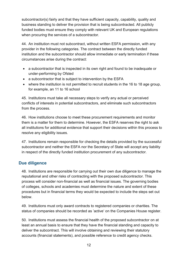subcontractor(s) fairly and that they have sufficient capacity, capability, quality and business standing to deliver the provision that is being subcontracted. All publicly funded bodies must ensure they comply with relevant UK and European regulations when procuring the services of a subcontractor.

44. An institution must not subcontract, without written ESFA permission, with any provider in the following categories. The contract between the directly funded institution and the subcontractor should allow immediate or early termination if these circumstances arise during the contract:

- a subcontractor that is inspected in its own right and found to be inadequate or under-performing by Ofsted
- a subcontractor that is subject to intervention by the ESFA
- where the institution is not permitted to recruit students in the 16 to 18 age group, for example, an 11 to 16 school

45. Institutions must take all necessary steps to verify any actual or perceived conflicts of interests in potential subcontractors, and eliminate such subcontractors from the process.

46. How institutions choose to meet these procurement requirements and monitor them is a matter for them to determine. However, the ESFA reserves the right to ask all institutions for additional evidence that support their decisions within this process to resolve any eligibility issues.

47. Institutions remain responsible for checking the details provided by the successful subcontractor and neither the ESFA nor the Secretary of State will accept any liability in respect of the directly funded institution procurement of any subcontractor.

#### <span id="page-11-0"></span>**Due diligence**

48. Institutions are responsible for carrying out their own due diligence to manage the reputational and other risks of contracting with the proposed subcontractor. This process will consider non-financial as well as financial issues. The governing bodies of colleges, schools and academies must determine the nature and extent of these procedures but in financial terms they would be expected to include the steps set out below.

49. Institutions must only award contracts to registered companies or charities. The status of companies should be recorded as 'active' on the Companies House register.

50. Institutions must assess the financial health of the proposed subcontractor on at least an annual basis to ensure that they have the financial standing and capacity to deliver the subcontract. This will involve obtaining and reviewing their statutory accounts (financial statements), and possible reference to credit agency checks.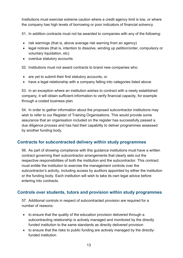Institutions must exercise extreme caution where a credit agency limit is low, or where the company has high levels of borrowing or poor indicators of financial solvency.

51. In addition contracts must not be awarded to companies with any of the following:

- risk warnings (that is, above average risk warning from an agency)
- legal notices (that is, intention to dissolve, winding up petition/order, compulsory or voluntary liquidation, etc)
- overdue statutory accounts

52. Institutions must not award contracts to brand new companies who:

- are yet to submit their first statutory accounts, or
- have a legal relationship with a company falling into categories listed above

53. In an exception where an institution wishes to contract with a newly established company, it will obtain sufficient information to verify financial capacity, for example through a costed business plan.

54. In order to gather information about the proposed subcontractor institutions may wish to refer to our Register of Training Organisations. This would provide some assurance that an organisation included on the register has successfully passed a due diligence process and has had their capability to deliver programmes assessed by another funding body.

#### <span id="page-12-0"></span>**Contracts for subcontracted delivery within study programmes**

56. As part of showing compliance with this guidance institutions must have a written contract governing their subcontractor arrangements that clearly sets out the respective responsibilities of both the institution and the subcontractor. This contract must entitle the institution to exercise the management controls over the subcontractor's activity, including access by auditors appointed by either the institution or the funding body. Each institution will wish to take its own legal advice before entering into contracts.

#### <span id="page-12-1"></span>**Controls over students, tutors and provision within study programmes**

57. Additional controls in respect of subcontracted provision are required for a number of reasons:

- to ensure that the quality of the education provision delivered through a subcontracting relationship is actively managed and monitored by the directly funded institution to the same standards as directly delivered provision
- to ensure that the risks to public funding are actively managed by the directlyfunded institution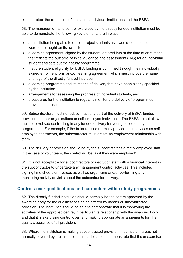• to protect the reputation of the sector, individual institutions and the ESFA

58. The management and control exercised by the directly funded institution must be able to demonstrate the following key elements are in place:

- an institution being able to enrol or reject students as it would do if the students were to be taught on its own site
- a learning agreement, signed by the student, entered into at the time of enrolment that reflects the outcome of initial guidance and assessment (IAG) for an individual student and sets out their study programme
- that the student eligibility for ESFA funding is confirmed through their individually signed enrolment form and/or learning agreement which must include the name and logo of the directly funded institution
- a learning programme and its means of delivery that have been clearly specified by the institution
- arrangements for assessing the progress of individual students, and
- procedures for the institution to regularly monitor the delivery of programmes provided in its name

59. Subcontractors must not subcontract any part of the delivery of ESFA-funded provision to other organisations or self-employed individuals. The ESFA do not allow multiple level sub-contracting in any funded delivery for young people study progarmmes. For example, if the trainers used normally provide their services as selfemployed contractors, the subcontractor must create an employment relationship with them.

60. The delivery of provision should be by the subcontractor's directly employed staff. In the case of volunteers, the control will be 'as if they were employed'.

61. It is not acceptable for subcontractors or institution staff with a financial interest in the subcontractor to undertake any management control activities. This includes signing time sheets or invoices as well as organising and/or performing any monitoring activity or visits about the subcontractor delivery.

#### <span id="page-13-0"></span>**Controls over qualifications and curriculum within study programmes**

62. The directly funded institution should normally be the centre approved by the awarding body for the qualifications being offered by means of subcontracted provision. The institution should be able to demonstrate that it is monitoring the activities of the approved centre, in particular its relationship with the awarding body, and that it is exercising control over, and making appropriate arrangements for, the quality assurance of all provision.

63. Where the institution is making subcontracted provision in curriculum areas not normally covered by the institution, it must be able to demonstrate that it can exercise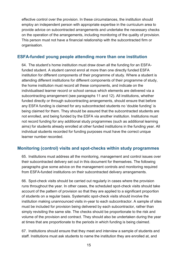effective control over the provision. In these circumstances, the institution should employ an independent person with appropriate expertise in the curriculum area to provide advice on subcontracted arrangements and undertake the necessary checks on the operation of the arrangements, including monitoring of the quality of provision. This person must not have a financial relationship with the subcontracted firm or organisation.

#### <span id="page-14-0"></span>**ESFA-funded young people attending more than one institution**

64. The student's home institution must draw down all the funding for an ESFAfunded student. A student cannot enrol at more than one directly funded ESFA institution for different components of their programme of study. Where a student is attending different institutions for different components of their programme of study, the home institution must record all these components, and indicate on the individualised learner record or school census which elements are delivered via a subcontracting arrangement (see paragraphs 11 and 12). All institutions, whether funded directly or through subcontracting arrangements, should ensure that before any ESFA funding is claimed for any subcontracted students no 'double funding' is being claimed for them. They should be assured that the subcontracted students are not enrolled, and being funded by the ESFA via another institution. Institutions must not record funding for any additional study programmes (such as additional learning aims) for students already enrolled at other funded institutions in the funding year. All individual students recorded for funding purposes must have the correct unique learner number recorded.

#### <span id="page-14-1"></span>**Monitoring (control) visits and spot-checks within study programmes**

65. Institutions must address all the monitoring, management and control issues over their subcontracted delivery set out in this document for themselves. The following paragraphs give some advice on the management controls and monitoring required from ESFA-funded institutions on their subcontracted delivery arrangements.

66. Spot-check visits should be carried out regularly in cases where the provision runs throughout the year. In other cases, the scheduled spot-check visits should take account of the pattern of provision so that they are applied to a significant proportion of students on a regular basis. Systematic spot-check visits should involve the institution making unannounced visits in-year to each subcontractor. A sample of sites must be included for provision being delivered by each subcontractor, rather than simply revisiting the same site. The checks should be proportionate to the risk and volume of the provision and contract. They should also be undertaken during the year at times that are proportionate to the periods in which funding is being claimed.

67. Institutions should ensure that they meet and interview a sample of students and staff. Institutions must ask students to name the institution they are enrolled at, and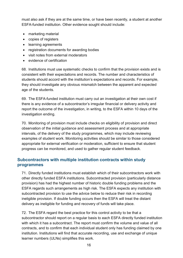must also ask if they are at the same time, or have been recently, a student at another ESFA-funded institution. Other evidence sought should include:

- marketing material
- copies of registers
- learning agreements
- registration documents for awarding bodies
- visit notes from external moderators
- evidence of certification

68. Institutions must use systematic checks to confirm that the provision exists and is consistent with their expectations and records. The number and characteristics of students should accord with the institution's expectations and records. For example, they should investigate any obvious mismatch between the apparent and expected age of the students.

69. The ESFA-funded institution must carry out an investigation at their own cost if there is any evidence of a subcontractor's irregular financial or delivery activity and report the outcome of the investigation, in writing, to the ESFA within 10 days of the investigation ending.

70. Monitoring of provision must include checks on eligibility of provision and direct observation of the initial guidance and assessment process and at appropriate intervals, of the delivery of the study programmes, which may include reviewing examples of student work. Monitoring activities should be similar to those considered appropriate for external verification or moderation, sufficient to ensure that student progress can be monitored, and used to gather regular student feedback.

#### <span id="page-15-0"></span>**Subcontractors with multiple institution contracts within study programmes**

71. Directly funded institutions must establish which of their subcontractors work with other directly funded ESFA institutions. Subcontracted provision (particularly distance provision) has had the highest number of historic double funding problems and the ESFA regards such arrangements as high risk. The ESFA expects any institution with subcontracted provision to use the advice below to reduce their risk in recording ineligible provision. If double funding occurs then the ESFA will treat the distant delivery as ineligible for funding and recovery of funds will take place.

72. The ESFA regard the best practice for this control activity to be that a subcontractor should report on a regular basis to each ESFA directly funded institution with which it has a subcontract. The report must confirm the volume and value of all contracts, and to confirm that each individual student only has funding claimed by one institution. Institutions will find that accurate recording, use and exchange of unique learner numbers (ULNs) simplifies this work.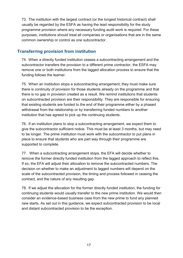73. The institution with the largest contract (or the longest historical contract) shall usually be regarded by the ESFA as having the lead responsibility for the study programme provision where any necessary funding audit work is required. For these purposes, institutions should treat all companies or organisations that are in the same common ownership or control as one subcontractor.

#### <span id="page-16-0"></span>**Transferring provision from institution**

74. When a directly funded institution ceases a subcontracting arrangement and the subcontractor transfers the provision to a different prime contractor, the ESFA may remove one or both institutions from the lagged allocation process to ensure that the funding follows the learner.

75. When an institution stops a subcontracting arrangement, they must make sure there is continuity of provision for those students already on the programme and that there is no gap in provision created as a result. We remind institutions that students on subcontracted provision are their responsibility. They are responsible for ensuring that existing students are funded to the end of their programme either by a phased withdrawal from the relationship or by transferring funded numbers to another institution that has agreed to pick up the continuing students.

76. If an institution plans to stop a subcontracting arrangement, we expect them to give the subcontractor sufficient notice. This must be at least 3 months, but may need to be longer. The prime institution must work with the subcontractor to put plans in place to ensure that students who are part way through their programme are supported to complete.

77. When a subcontracting arrangement stops, the EFA will decide whether to remove the former directly funded institution from the lagged approach to reflect this. If so, the EFA will adjust their allocation to remove the subcontracted numbers. The decision on whether to make an adjustment to lagged numbers will depend on the scale of the subcontracted provision, the timing and process followed in ceasing the contract, and the nature of any resulting gap.

78. If we adjust the allocation for the former directly funded institution, the funding for continuing students would usually transfer to the new prime institution. We would then consider an evidence-based business case from the new prime to fund any planned new starts. As set out in this guidance, we expect subcontracted provision to be local and distant subcontracted provision to be the exception.